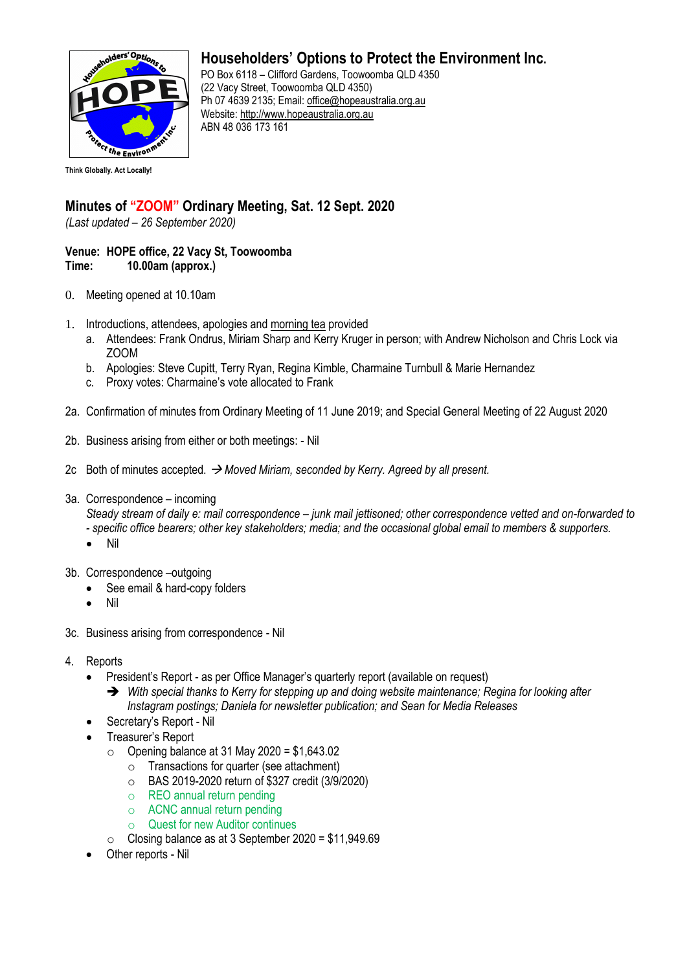

## **Householders' Options to Protect the Environment Inc.**

PO Box 6118 – Clifford Gardens, Toowoomba QLD 4350 (22 Vacy Street, Toowoomba QLD 4350) Ph 07 4639 2135; Email: office@hopeaustralia.org.au Website: http://www.hopeaustralia.org.au ABN 48 036 173 161

## **Minutes of "ZOOM" Ordinary Meeting, Sat. 12 Sept. 2020**

*(Last updated – 26 September 2020)*

## **Venue: HOPE office, 22 Vacy St, Toowoomba Time: 10.00am (approx.)**

- 0. Meeting opened at 10.10am
- 1. Introductions, attendees, apologies and morning tea provided
	- a. Attendees: Frank Ondrus, Miriam Sharp and Kerry Kruger in person; with Andrew Nicholson and Chris Lock via ZOOM
	- b. Apologies: Steve Cupitt, Terry Ryan, Regina Kimble, Charmaine Turnbull & Marie Hernandez
	- c. Proxy votes: Charmaine's vote allocated to Frank
- 2a. Confirmation of minutes from Ordinary Meeting of 11 June 2019; and Special General Meeting of 22 August 2020
- 2b. Business arising from either or both meetings: Nil
- 2c Both of minutes accepted. → *Moved Miriam, seconded by Kerry. Agreed by all present.*
- 3a. Correspondence incoming

*Steady stream of daily e: mail correspondence – junk mail jettisoned; other correspondence vetted and on-forwarded to - specific office bearers; other key stakeholders; media; and the occasional global email to members & supporters.* 

- Nil
- 3b. Correspondence –outgoing
	- See email & hard-copy folders
	- Nil
- 3c. Business arising from correspondence Nil
- 4. Reports
	- President's Report as per Office Manager's quarterly report (available on request)
		- ➔ *With special thanks to Kerry for stepping up and doing website maintenance; Regina for looking after Instagram postings; Daniela for newsletter publication; and Sean for Media Releases*
	- Secretary's Report Nil
	- Treasurer's Report
		- $\circ$  Opening balance at 31 May 2020 = \$1,643,02
			- o Transactions for quarter (see attachment)
			- o BAS 2019-2020 return of \$327 credit (3/9/2020)
			- o REO annual return pending
			- o ACNC annual return pending
			- **Quest for new Auditor continues**
		- $\circ$  Closing balance as at 3 September 2020 = \$11,949.69
	- Other reports Nil